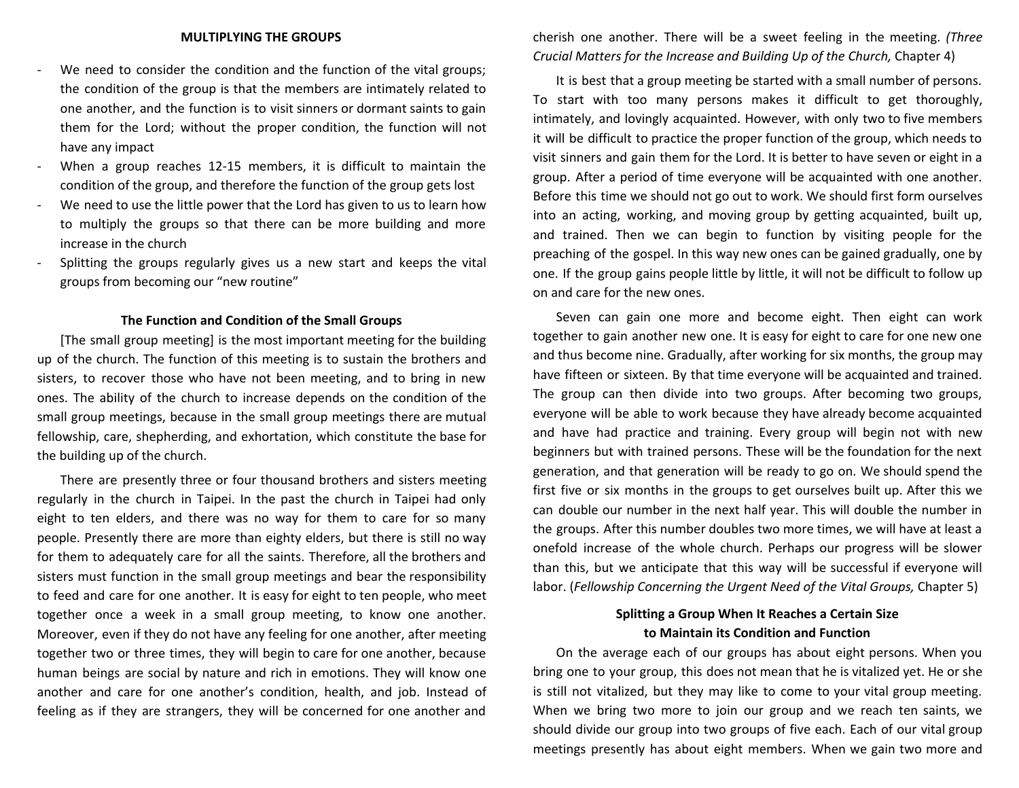- We need to consider the condition and the function of the vital groups; the condition of the group is that the members are intimately related to one another, and the function is to visit sinners or dormant saints to gain them for the Lord; without the proper condition, the function will not have any impact
- When a group reaches 12-15 members, it is difficult to maintain the condition of the group, and therefore the function of the group gets lost
- We need to use the little power that the Lord has given to us to learn how to multiply the groups so that there can be more building and more increase in the church
- Splitting the groups regularly gives us a new start and keeps the vital groups from becoming our "new routine"

## **The Function and Condition of the Small Groups**

[The small group meeting] is the most important meeting for the building up of the church. The function of this meeting is to sustain the brothers and sisters, to recover those who have not been meeting, and to bring in new ones. The ability of the church to increase depends on the condition of the small group meetings, because in the small group meetings there are mutual fellowship, care, shepherding, and exhortation, which constitute the base for the building up of the church.

There are presently three or four thousand brothers and sisters meeting regularly in the church in Taipei. In the past the church in Taipei had only eight to ten elders, and there was no way for them to care for so many people. Presently there are more than eighty elders, but there is still no way for them to adequately care for all the saints. Therefore, all the brothers and sisters must function in the small group meetings and bear the responsibility to feed and care for one another. It is easy for eight to ten people, who meet together once a week in a small group meeting, to know one another. Moreover, even if they do not have any feeling for one another, after meeting together two or three times, they will begin to care for one another, because human beings are social by nature and rich in emotions. They will know one another and care for one another's condition, health, and job. Instead of feeling as if they are strangers, they will be concerned for one another and

cherish one another. There will be a sweet feeling in the meeting. *(Three Crucial Matters for the Increase and Building Up of the Church,* Chapter 4)

It is best that a group meeting be started with a small number of persons. To start with too many persons makes it difficult to get thoroughly, intimately, and lovingly acquainted. However, with only two to five members it will be difficult to practice the proper function of the group, which needs to visit sinners and gain them for the Lord. It is better to have seven or eight in a group. After a period of time everyone will be acquainted with one another. Before this time we should not go out to work. We should first form ourselves into an acting, working, and moving group by getting acquainted, built up, and trained. Then we can begin to function by visiting people for the preaching of the gospel. In this way new ones can be gained gradually, one by one. If the group gains people little by little, it will not be difficult to follow up on and care for the new ones.

Seven can gain one more and become eight. Then eight can work together to gain another new one. It is easy for eight to care for one new one and thus become nine. Gradually, after working for six months, the group may have fifteen or sixteen. By that time everyone will be acquainted and trained. The group can then divide into two groups. After becoming two groups, everyone will be able to work because they have already become acquainted and have had practice and training. Every group will begin not with new beginners but with trained persons. These will be the foundation for the next generation, and that generation will be ready to go on. We should spend the first five or six months in the groups to get ourselves built up. After this we can double our number in the next half year. This will double the number in the groups. After this number doubles two more times, we will have at least a onefold increase of the whole church. Perhaps our progress will be slower than this, but we anticipate that this way will be successful if everyone will labor. (*Fellowship Concerning the Urgent Need of the Vital Groups,* Chapter 5)

## **Splitting a Group When It Reaches a Certain Size to Maintain its Condition and Function**

On the average each of our groups has about eight persons. When you bring one to your group, this does not mean that he is vitalized yet. He or she is still not vitalized, but they may like to come to your vital group meeting. When we bring two more to join our group and we reach ten saints, we should divide our group into two groups of five each. Each of our vital group meetings presently has about eight members. When we gain two more and